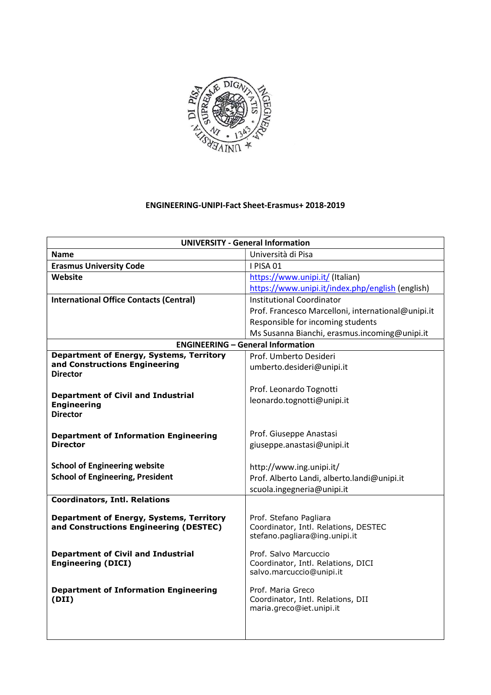

## ENGINEERING-UNIPI-Fact Sheet-Erasmus+ 2018-2019

| <b>UNIVERSITY - General Information</b>                                         |                                                    |  |  |
|---------------------------------------------------------------------------------|----------------------------------------------------|--|--|
| <b>Name</b>                                                                     | Università di Pisa                                 |  |  |
| <b>Erasmus University Code</b>                                                  | I PISA 01                                          |  |  |
| Website                                                                         | https://www.unipi.it/ (Italian)                    |  |  |
|                                                                                 | https://www.unipi.it/index.php/english (english)   |  |  |
| <b>International Office Contacts (Central)</b>                                  | <b>Institutional Coordinator</b>                   |  |  |
|                                                                                 | Prof. Francesco Marcelloni, international@unipi.it |  |  |
|                                                                                 | Responsible for incoming students                  |  |  |
|                                                                                 | Ms Susanna Bianchi, erasmus.incoming@unipi.it      |  |  |
|                                                                                 | <b>ENGINEERING - General Information</b>           |  |  |
| Department of Energy, Systems, Territory                                        | Prof. Umberto Desideri                             |  |  |
| and Constructions Engineering                                                   | umberto.desideri@unipi.it                          |  |  |
| <b>Director</b>                                                                 |                                                    |  |  |
| <b>Department of Civil and Industrial</b>                                       | Prof. Leonardo Tognotti                            |  |  |
| <b>Engineering</b>                                                              | leonardo.tognotti@unipi.it                         |  |  |
| <b>Director</b>                                                                 |                                                    |  |  |
|                                                                                 |                                                    |  |  |
| <b>Department of Information Engineering</b>                                    | Prof. Giuseppe Anastasi                            |  |  |
| <b>Director</b>                                                                 | giuseppe.anastasi@unipi.it                         |  |  |
|                                                                                 |                                                    |  |  |
| <b>School of Engineering website</b><br><b>School of Engineering, President</b> | http://www.ing.unipi.it/                           |  |  |
|                                                                                 | Prof. Alberto Landi, alberto.landi@unipi.it        |  |  |
| <b>Coordinators, Intl. Relations</b>                                            | scuola.ingegneria@unipi.it                         |  |  |
|                                                                                 |                                                    |  |  |
| Department of Energy, Systems, Territory                                        | Prof. Stefano Pagliara                             |  |  |
| and Constructions Engineering (DESTEC)                                          | Coordinator, Intl. Relations, DESTEC               |  |  |
|                                                                                 | stefano.pagliara@ing.unipi.it                      |  |  |
| <b>Department of Civil and Industrial</b>                                       | Prof. Salvo Marcuccio                              |  |  |
| <b>Engineering (DICI)</b>                                                       | Coordinator, Intl. Relations, DICI                 |  |  |
|                                                                                 | salvo.marcuccio@unipi.it                           |  |  |
| <b>Department of Information Engineering</b>                                    | Prof. Maria Greco                                  |  |  |
| (DII)                                                                           | Coordinator, Intl. Relations, DII                  |  |  |
|                                                                                 | maria.greco@iet.unipi.it                           |  |  |
|                                                                                 |                                                    |  |  |
|                                                                                 |                                                    |  |  |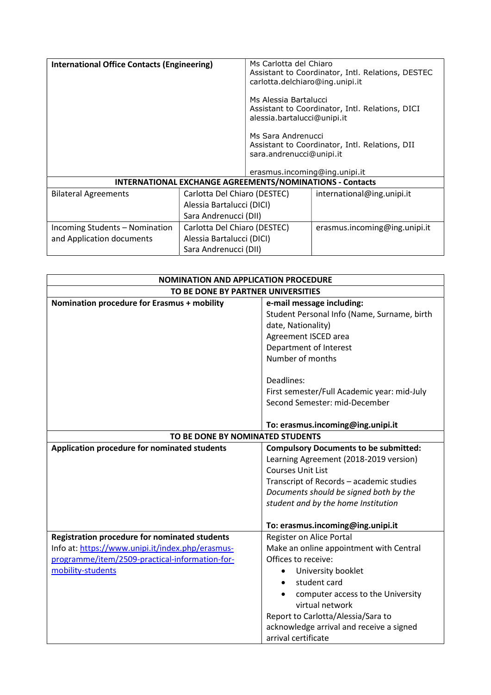| <b>International Office Contacts (Engineering)</b>              |                              | Ms Carlotta del Chiaro<br>carlotta.delchiaro@ing.unipi.it                       | Assistant to Coordinator, Intl. Relations, DESTEC |  |
|-----------------------------------------------------------------|------------------------------|---------------------------------------------------------------------------------|---------------------------------------------------|--|
|                                                                 |                              | Ms Alessia Bartalucci<br>alessia.bartalucci@unipi.it                            | Assistant to Coordinator, Intl. Relations, DICI   |  |
|                                                                 |                              | Ms Sara Andrenucci<br>sara.andrenucci@unipi.it<br>erasmus.incoming@ing.unipi.it | Assistant to Coordinator, Intl. Relations, DII    |  |
| <b>INTERNATIONAL EXCHANGE AGREEMENTS/NOMINATIONS - Contacts</b> |                              |                                                                                 |                                                   |  |
| <b>Bilateral Agreements</b>                                     | Carlotta Del Chiaro (DESTEC) |                                                                                 | international@ing.unipi.it                        |  |
|                                                                 | Alessia Bartalucci (DICI)    |                                                                                 |                                                   |  |
|                                                                 | Sara Andrenucci (DII)        |                                                                                 |                                                   |  |
| Incoming Students – Nomination                                  | Carlotta Del Chiaro (DESTEC) |                                                                                 | erasmus.incoming@ing.unipi.it                     |  |
| and Application documents                                       | Alessia Bartalucci (DICI)    |                                                                                 |                                                   |  |
|                                                                 | Sara Andrenucci (DII)        |                                                                                 |                                                   |  |

| <b>NOMINATION AND APPLICATION PROCEDURE</b>          |                                              |  |  |
|------------------------------------------------------|----------------------------------------------|--|--|
| TO BE DONE BY PARTNER UNIVERSITIES                   |                                              |  |  |
| Nomination procedure for Erasmus + mobility          | e-mail message including:                    |  |  |
|                                                      | Student Personal Info (Name, Surname, birth  |  |  |
|                                                      | date, Nationality)                           |  |  |
|                                                      | Agreement ISCED area                         |  |  |
|                                                      | Department of Interest                       |  |  |
|                                                      | Number of months                             |  |  |
|                                                      |                                              |  |  |
|                                                      | Deadlines:                                   |  |  |
|                                                      | First semester/Full Academic year: mid-July  |  |  |
|                                                      | Second Semester: mid-December                |  |  |
|                                                      |                                              |  |  |
|                                                      | To: erasmus.incoming@ing.unipi.it            |  |  |
| TO BE DONE BY NOMINATED STUDENTS                     |                                              |  |  |
| Application procedure for nominated students         | <b>Compulsory Documents to be submitted:</b> |  |  |
|                                                      | Learning Agreement (2018-2019 version)       |  |  |
|                                                      | <b>Courses Unit List</b>                     |  |  |
|                                                      | Transcript of Records - academic studies     |  |  |
|                                                      | Documents should be signed both by the       |  |  |
|                                                      | student and by the home Institution          |  |  |
|                                                      |                                              |  |  |
|                                                      | To: erasmus.incoming@ing.unipi.it            |  |  |
| <b>Registration procedure for nominated students</b> | Register on Alice Portal                     |  |  |
| Info at: https://www.unipi.it/index.php/erasmus-     | Make an online appointment with Central      |  |  |
| programme/item/2509-practical-information-for-       | Offices to receive:                          |  |  |
| mobility-students                                    | University booklet                           |  |  |
|                                                      | student card                                 |  |  |
|                                                      | computer access to the University            |  |  |
|                                                      | virtual network                              |  |  |
|                                                      | Report to Carlotta/Alessia/Sara to           |  |  |
|                                                      | acknowledge arrival and receive a signed     |  |  |
|                                                      | arrival certificate                          |  |  |